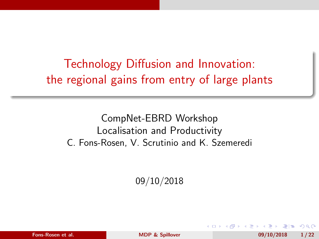<span id="page-0-0"></span>Technology Diffusion and Innovation: the regional gains from entry of large plants

CompNet-EBRD Workshop Localisation and Productivity C. Fons-Rosen, V. Scrutinio and K. Szemeredi

09/10/2018

|  | Fons-Rosen et al. |  |
|--|-------------------|--|
|--|-------------------|--|

For  $\Omega$  Fons-Rosen et al. [MDP & Spillover](#page-28-0) 09/10/2018 1/22

目目 の女の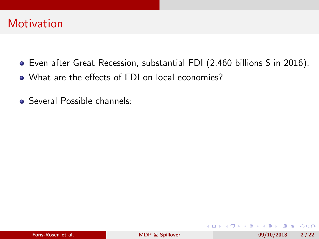- Even after Great Recession, substantial FDI (2,460 billions \$ in 2016).
- What are the effects of FDI on local economies?
- **Several Possible channels:**

K ロ ▶ K 何 ▶ K 국 ▶ K 국 ▶ 국 | 및 K 9 Q (연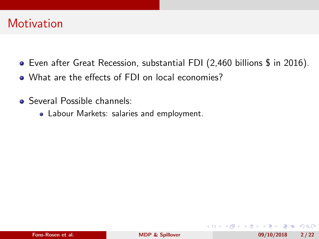- Even after Great Recession, substantial FDI (2,460 billions \$ in 2016).
- What are the effects of FDI on local economies?
- **Several Possible channels:** 
	- Labour Markets: salaries and employment.

- K 로 K (로 K 로)로 19 Q Q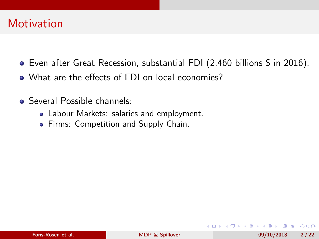- Even after Great Recession, substantial FDI (2,460 billions \$ in 2016).
- What are the effects of FDI on local economies?
- **Several Possible channels:** 
	- Labour Markets: salaries and employment.
	- **•** Firms: Competition and Supply Chain.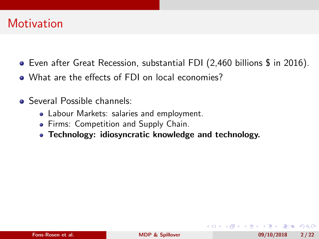- Even after Great Recession, substantial FDI (2,460 billions \$ in 2016).
- What are the effects of FDI on local economies?
- **Several Possible channels:** 
	- Labour Markets: salaries and employment.
	- **•** Firms: Competition and Supply Chain.
	- Technology: idiosyncratic knowledge and technology.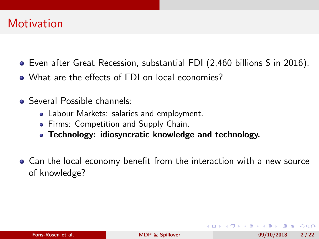- Even after Great Recession, substantial FDI (2,460 billions \$ in 2016).
- What are the effects of FDI on local economies?
- **Several Possible channels:** 
	- Labour Markets: salaries and employment.
	- **•** Firms: Competition and Supply Chain.
	- Technology: idiosyncratic knowledge and technology.
- Can the local economy benefit from the interaction with a new source of knowledge?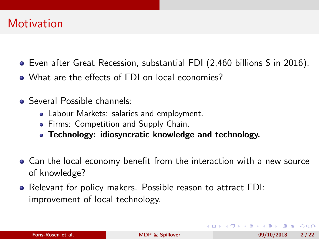- Even after Great Recession, substantial FDI (2,460 billions \$ in 2016).
- What are the effects of FDI on local economies?
- **Several Possible channels:** 
	- Labour Markets: salaries and employment.
	- **•** Firms: Competition and Supply Chain.
	- Technology: idiosyncratic knowledge and technology.
- Can the local economy benefit from the interaction with a new source of knowledge?
- Relevant for policy makers. Possible reason to attract FDI: improvement of local technology.

кор княт к∃т к∃т та коро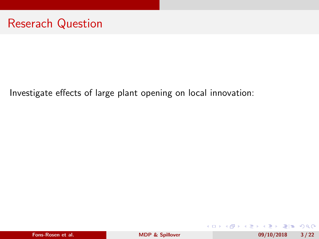Investigate effects of large plant opening on local innovation:

| Fons-Rosen et al. |  |
|-------------------|--|
|                   |  |

**∢ ロ ▶ ( 伊 )**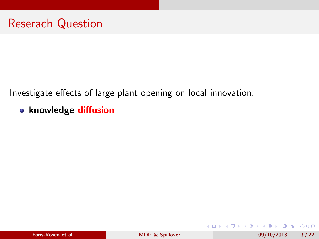Investigate effects of large plant opening on local innovation:

knowledge diffusion

K ロ ▶ K 何 ▶ K 국 ▶ K 국 ▶ 국 | 및 K 9 Q (연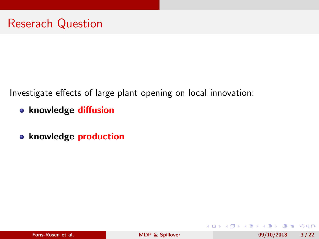Investigate effects of large plant opening on local innovation:

- knowledge diffusion
- o knowledge production

**← ロ ▶ → (母 ▶**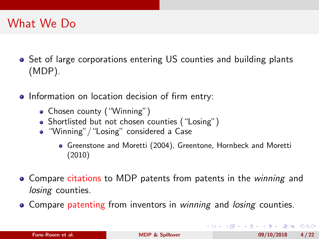# What We Do

- Set of large corporations entering US counties and building plants (MDP).
- Information on location decision of firm entry:
	- Chosen county ("Winning")
	- Shortlisted but not chosen counties ("Losing")
	- "Winning" / "Losing" considered a Case
		- Greenstone and Moretti (2004), Greentone, Hornbeck and Moretti (2010)
- Compare citations to MDP patents from patents in the *winning* and losing counties.
- Compare patenting from inventors in winning and losing counties.

KOD KAR KED KED EE KAA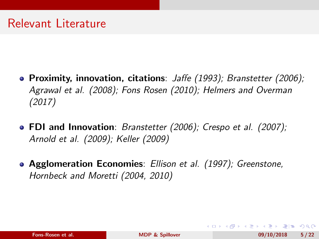- **Proximity, innovation, citations**: *Jaffe (1993); Branstetter (2006);* Agrawal et al. (2008); Fons Rosen (2010); Helmers and Overman (2017)
- FDI and Innovation: Branstetter (2006); Crespo et al. (2007); Arnold et al. (2009); Keller (2009)
- Agglomeration Economies: Ellison et al. (1997); Greenstone, Hornbeck and Moretti (2004, 2010)

кор княт к∃т к∃т та коро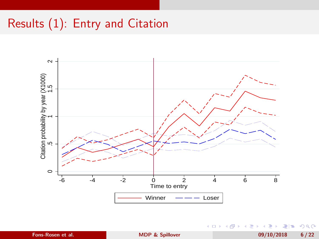# Results (1): Entry and Citation



 $\leftarrow$  $\rightarrow$ 

э **B** Fons-Rosen et al. [MDP & Spillover](#page-0-0) and MDP & Spillover and MDP & Spillover and MDP & Spillover and MDP & Spillover and MDP & Spillover and MDP & Spillover and MDP & Spillover and MDP & Spillover and MDP & Spillover and MDP

э  $\sim$ 

**A II**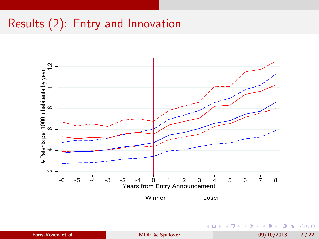# Results (2): Entry and Innovation



4日 8

Fons-Rosen et al. [MDP & Spillover](#page-0-0) 09/10/2018 7 / 22

÷  $\mathbf{F}=\mathbf{0}$ э

 $\left($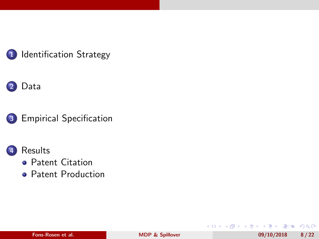

### 1 [Identification Strategy](#page-15-0)

### [Data](#page-17-0)



3 [Empirical Specification](#page-19-0)





- **[Patent Citation](#page-21-0)**
- **[Patent Production](#page-25-0)**

**◆ ロ ▶ → 伊** 

医头尾属 **B** 

**A**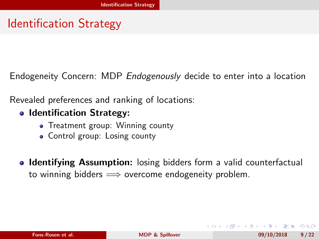# <span id="page-15-0"></span>Identification Strategy

Endogeneity Concern: MDP *Endogenously* decide to enter into a location

Revealed preferences and ranking of locations:

#### • Identification Strategy:

- Treatment group: Winning county
- Control group: Losing county
- Identifying Assumption: losing bidders form a valid counterfactual to winning bidders  $\implies$  overcome endogeneity problem.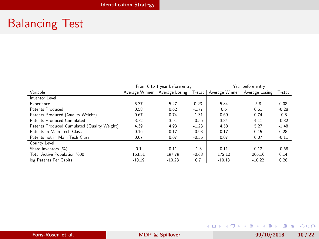# <span id="page-16-0"></span>Balancing Test

|                                             | From 6 to 1 year before entry<br>Year before entry |          |         |                |          |         |
|---------------------------------------------|----------------------------------------------------|----------|---------|----------------|----------|---------|
| Variable                                    | Average Winner Average Losing                      |          | T-stat  | Average Winner | T-stat   |         |
| Inventor Level                              |                                                    |          |         |                |          |         |
| Experience                                  | 5.37                                               | 5.27     | 0.23    | 5.84           | 5.8      | 0.08    |
| Patents Produced                            | 0.58                                               | 0.62     | $-1.77$ | 0.6            | 0.61     | $-0.28$ |
| Patents Produced (Quality Weight)           | 0.67                                               | 0.74     | $-1.31$ | 0.69           | 0.74     | $-0.8$  |
| Patents Produced Cumulated                  | 3.72                                               | 3.91     | $-0.56$ | 3.84           | 4.11     | $-0.82$ |
| Patents Produced Cumulated (Quality Weight) | 4.39                                               | 4.93     | $-1.23$ | 4.58           | 5.27     | $-1.48$ |
| Patents in Main Tech Class                  | 0.16                                               | 0.17     | $-0.93$ | 0.17           | 0.15     | 0.28    |
| Patents not in Main Tech Class              | 0.07                                               | 0.07     | $-0.56$ | 0.07           | 0.07     | $-0.11$ |
| County Level                                |                                                    |          |         |                |          |         |
| Share Inventors (%)                         | 0.1                                                | 0.11     | $-1.3$  | 0.11           | 0.12     | $-0.68$ |
| Total Active Population '000                | 163.51                                             | 197.79   | $-0.68$ | 172.12         | 206.16   | 0.14    |
| log Patents Per Capita                      | $-10.19$                                           | $-10.28$ | 0.7     | $-10.18$       | $-10.22$ | 0.28    |

Fons-Rosen et al. **[MDP & Spillover](#page-0-0)** 09/10/2018 10/22

K ロ ▶ K @ ▶ K ミ ▶ K ミ ▶ [로]로 19 Q @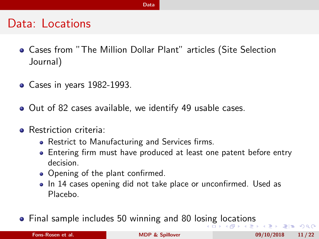#### [Data](#page-17-0)

### <span id="page-17-0"></span>Data: Locations

- Cases from "The Million Dollar Plant" articles (Site Selection Journal)
- Cases in years 1982-1993.
- Out of 82 cases available, we identify 49 usable cases.
- **Restriction criteria:** 
	- Restrict to Manufacturing and Services firms.
	- Entering firm must have produced at least one patent before entry decision.
	- Opening of the plant confirmed.
	- In 14 cases opening did not take place or unconfirmed. Used as Placebo.
- **•** Final sample includes 50 winning and 80 lo[sin](#page-16-0)[g l](#page-18-0)[o](#page-16-0)[ca](#page-17-0)[ti](#page-18-0)o[n](#page-17-0)[s](#page-18-0)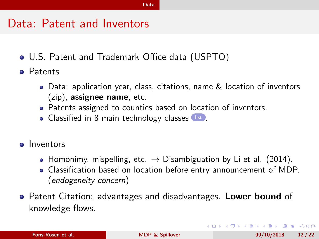### <span id="page-18-0"></span>Data: Patent and Inventors

- <span id="page-18-1"></span>U.S. Patent and Trademark Office data (USPTO)
- **Patents** 
	- Data: application year, class, citations, name & location of inventors (zip), assignee name, etc.
	- Patents assigned to counties based on location of inventors.
	- Classified in 8 main technology classes [list](#page-29-0).
- **o** Inventors
	- Homonimy, mispelling, etc.  $\rightarrow$  Disambiguation by Li et al. (2014).
	- Classification based on location before entry announcement of MDP. (endogeneity concern)
- Patent Citation: advantages and disadvantages. Lower bound of knowledge flows.

K ロ ▶ K 何 ▶ K ヨ ▶ K ヨ ▶ - ヨ 出 | 9 Q (^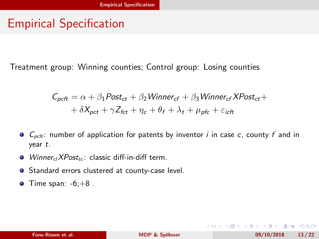# <span id="page-19-0"></span>Empirical Specification

Treatment group: Winning counties; Control group: Losing counties

$$
C_{pcft} = \alpha + \beta_1 Post_{ct} + \beta_2 \text{Winner}_{cf} + \beta_3 \text{Winner}_{cf} \text{XPost}_{ct} ++ \delta X_{pct} + \gamma Z_{fct} + \eta_c + \theta_f + \lambda_t + \mu_{pfc} + \varepsilon_{icft}
$$

- $\bullet$   $C_{pclt}$ : number of application for patents by inventor *i* in case *c*, county *f* and in year t.
- $\bullet$  WinnerclXPost<sub>tc</sub>: classic diff-in-diff term.
- Standard errors clustered at county-case level.
- $\bullet$  Time span:  $-6;+8$ .

K ロ ▶ K 何 ▶ K ヨ ▶ K ヨ ▶ - ヨ 出 | 9 Q (^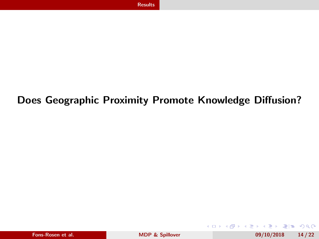### <span id="page-20-0"></span>Does Geographic Proximity Promote Knowledge Diffusion?

**∢ ロ ▶ ( 伊 )** 

→ 画 -41 重  $\mathbf{p}$ 

 $E|E| \leq 0.00$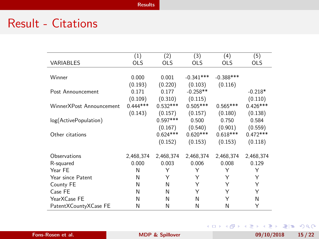# <span id="page-21-0"></span>Result - Citations

|                          | (1)        | (2)        | (3)         | (4)         | (5)        |
|--------------------------|------------|------------|-------------|-------------|------------|
| VARIABLES                | <b>OLS</b> | <b>OLS</b> | <b>OLS</b>  | <b>OLS</b>  | OLS        |
|                          |            |            |             |             |            |
| Winner                   | 0.000      | 0.001      | $-0.341***$ | $-0.388***$ |            |
|                          |            |            |             |             |            |
|                          | (0.193)    | (0.220)    | (0.103)     | (0.116)     |            |
| Post Announcement        | 0.171      | 0.177      | $-0.258**$  |             | $-0.218*$  |
|                          | (0.109)    | (0.310)    | (0.115)     |             | (0.110)    |
| WinnerXPost Announcement | $0.444***$ | $0.532***$ | $0.505***$  | $0.565***$  | $0.426***$ |
|                          | (0.143)    | (0.157)    | (0.157)     | (0.180)     | (0.138)    |
| log(ActivePopulation)    |            | $0.597***$ | 0.500       | 0.750       | 0.584      |
|                          |            | (0.167)    | (0.540)     | (0.901)     | (0.559)    |
| Other citations          |            | $0.624***$ | $0.620***$  | $0.618***$  | $0.472***$ |
|                          |            | (0.152)    | (0.153)     | (0.153)     | (0.118)    |
| Observations             | 2,468,374  | 2,468,374  | 2,468,374   | 2,468,374   | 2,468,374  |
|                          | 0.000      | 0.003      | 0.006       | 0.008       | 0.129      |
| R-squared                |            |            |             |             |            |
| Year FE                  | N          | Υ          | Υ           | Υ           | Υ          |
| Year since Patent        | N          | Υ          | Υ           | Υ           | Υ          |
| County FE                | N          | N          | Υ           | Υ           | Υ          |
| Case FE                  | N          | N          | Υ           | Υ           | Υ          |
| YearXCase FE             | N          | N          | N           | Υ           | N          |
| PatentXCountyXCase FE    | Ν          | N          | N           | N           | Υ          |

Fons-Rosen et al. [MDP & Spillover](#page-0-0) 09/10/2018 15/22

K ロ ▶ K @ ▶ K ミ ▶ K ミ ▶ [로]로 19 Q @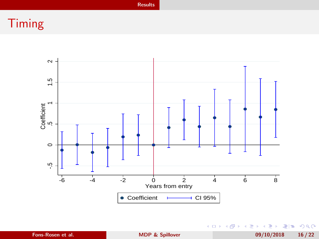[Results](#page-20-0)

# Timing



(ロ) (個) (目) (ミ) (目) 目目 のQ (V Fons-Rosen et al. **[MDP & Spillover](#page-0-0)** 09/10/2018 16/22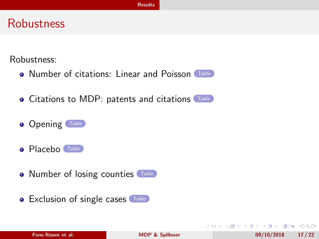### **Robustness**

<span id="page-23-0"></span>Robustness:

- Number of citations: Linear and Poisson [Table](#page-30-0)
- **Citations to MDP: patents and citations** [Table](#page-32-0)
- **Opening** [Table](#page-34-0)
- **Placebo** [Table](#page-35-0)
- Number of losing counties [Table](#page-33-0)
- Exclusion of single cases [Table](#page-36-0)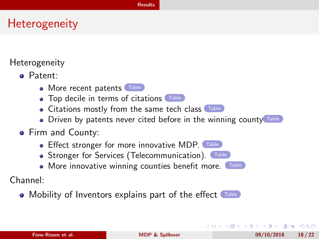# **Heterogeneity**

<span id="page-24-0"></span>Heterogeneity

- Patent:
	- More recent patents [Table](#page-37-0)
	- Top decile in terms of citations [Table](#page-38-0)
	- Citations mostly from the same tech class [Table](#page-43-0)
	- Driven by patents never cited before in the winning county
- **•** Firm and County:
	- Effect stronger for more innovative MDP. [Table](#page-40-0)
	- Stronger for Services (Telecommunication). [Table](#page-41-0)
	- More innovative winning counties benefit more. [Table](#page-42-0)

Channel:

• Mobility of Inventors explains part of the effect [Table](#page-44-0)

кор княт к∃т к∃т та коро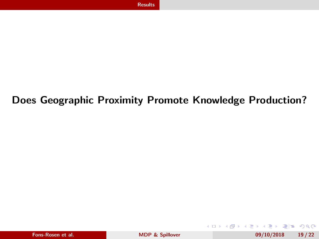### <span id="page-25-0"></span>Does Geographic Proximity Promote Knowledge Production?

|  |  | Fons-Rosen et al. |  |  |
|--|--|-------------------|--|--|
|--|--|-------------------|--|--|

For  $\frac{69}{10/2018}$  19/22

**∢ ロ ▶ ( 伊 )**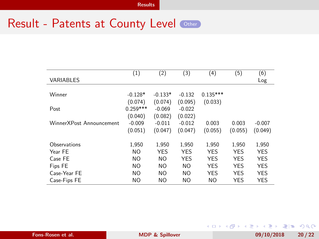### Result - Patents at County Level [Other](#page-46-0)

| <b>VARIABLES</b>         | (1)            | (2)            | (3)            | (4)        | (5)        | (6)<br>Log |
|--------------------------|----------------|----------------|----------------|------------|------------|------------|
| Winner                   | $-0.128*$      | $-0.133*$      | $-0.132$       | $0.135***$ |            |            |
|                          | (0.074)        | (0.074)        | (0.095)        | (0.033)    |            |            |
| Post                     | $0.259***$     | $-0.069$       | $-0.022$       |            |            |            |
|                          | (0.040)        | (0.082)        | (0.022)        |            |            |            |
| WinnerXPost Announcement | $-0.009$       | $-0.011$       | $-0.012$       | 0.003      | 0.003      | $-0.007$   |
|                          | (0.051)        | (0.047)        | (0.047)        | (0.055)    | (0.055)    | (0.049)    |
| Observations             | 1,950          | 1,950          | 1,950          | 1,950      | 1,950      | 1,950      |
| Year FE                  | <b>NO</b>      | <b>YES</b>     | <b>YES</b>     | <b>YES</b> | <b>YES</b> | <b>YES</b> |
| Case FE                  | <b>NO</b>      | NO.            | <b>YES</b>     | <b>YES</b> | <b>YES</b> | <b>YES</b> |
| Fips FE                  | <b>NO</b>      | N <sub>O</sub> | N <sub>O</sub> | <b>YES</b> | <b>YES</b> | <b>YES</b> |
| Case-Year FE             | <b>NO</b>      | NO.            | N <sub>O</sub> | <b>YES</b> | <b>YES</b> | <b>YES</b> |
| Case-Fips FE             | N <sub>O</sub> | N <sub>O</sub> | NO.            | <b>NO</b>  | <b>YES</b> | <b>YES</b> |

Fons-Rosen et al. **[MDP & Spillover](#page-0-0)** 199/10/2018 20/22

K ロ ▶ K @ ▶ K 글 ▶ K 글 ▶ [로] = 19 Q @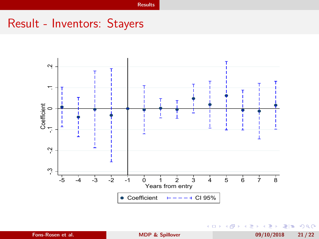# Result - Inventors: Stayers



 $\leftarrow$   $\Box$   $\rightarrow$ 

→●●  $\sim$ 一 三  $\sim$ 一心語

**B Fons-Rosen et al.** [MDP & Spillover](#page-0-0) 09/10/2018 21/22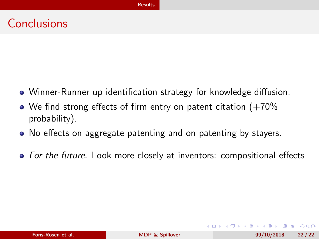# <span id="page-28-0"></span>**Conclusions**

- Winner-Runner up identification strategy for knowledge diffusion.
- We find strong effects of firm entry on patent citation  $(+70\%)$ probability).
- No effects on aggregate patenting and on patenting by stayers.
- For the future. Look more closely at inventors: compositional effects

кор княт к∃т к∃т та коро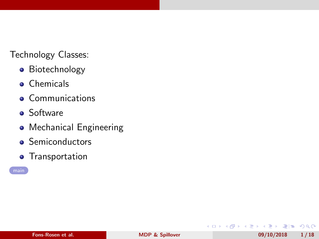<span id="page-29-0"></span>Technology Classes:

- **•** Biotechnology
- **•** Chemicals
- **•** Communications
- **•** Software
- **•** Mechanical Engineering
- **•** Semiconductors
- **•** Transportation



**◆ ロ ▶ → 伊** 

B. K. K  $\equiv$ **B**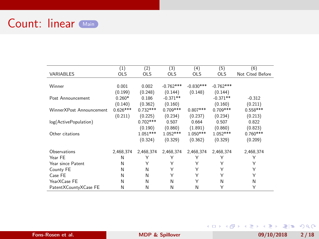<span id="page-30-0"></span>

|                          | (1)        | (2)        | (3)         | (4)         | (5)         | (6)              |
|--------------------------|------------|------------|-------------|-------------|-------------|------------------|
| VARIABLES                | <b>OLS</b> | <b>OLS</b> | <b>OLS</b>  | <b>OLS</b>  | <b>OLS</b>  | Not Cited Before |
|                          |            |            |             |             |             |                  |
| Winner                   | 0.001      | 0.002      | $-0.762***$ | $-0.830***$ | $-0.762***$ |                  |
|                          | (0.199)    | (0.248)    | (0.144)     | (0.148)     | (0.144)     |                  |
| Post Announcement        | $0.260*$   | 0.186      | $-0.371**$  |             | $-0.371**$  | $-0.312$         |
|                          | (0.140)    | (0.362)    | (0.160)     |             | (0.160)     | (0.211)          |
| WinnerXPost Announcement | $0.626***$ | $0.732***$ | $0.709***$  | $0.807***$  | $0.709***$  | $0.558***$       |
|                          | (0.211)    | (0.225)    | (0.234)     | (0.237)     | (0.234)     | (0.213)          |
| log(ActivePopulation)    |            | $0.702***$ | 0.507       | 0.664       | 0.507       | 0.822            |
|                          |            | (0.190)    | (0.860)     | (1.891)     | (0.860)     | (0.823)          |
| Other citations          |            | $1.051***$ | $1.052***$  | $1.050***$  | $1.052***$  | $0.760***$       |
|                          |            | (0.324)    | (0.329)     | (0.362)     | (0.329)     | (0.209)          |
| Observations             | 2.468.374  | 2.468.374  | 2.468.374   | 2.468.374   | 2,468,374   | 2,468,374        |
| Year FE                  | N          | Υ          | Υ           | Υ           | Υ           | Υ                |
| Year since Patent        | N          | Υ          | Υ           | Υ           | Υ           | Υ                |
| County FE                | N          | N          | Υ           | Υ           | Υ           | Υ                |
| Case FF                  | N          | N          | Υ           | Υ           | Υ           | Υ                |
| YearXCase FE             | N          | N          | N           | Y           | N           | N                |
| PatentXCountyXCase FE    | Ν          | N          | N           | N           | Υ           | Υ                |

Fons-Rosen et al. **[MDP & Spillover](#page-0-0)** 09/10/2018 2/18

K ロ ▶ K 御 ▶ K 重 ▶ K 重 ▶ [ 重] 由 19 Q Q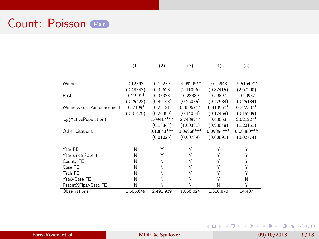### Count: Poisson [Main](#page-23-0)

|                          | (1)        | (2)          | (3)          | (4)         | (5)          |
|--------------------------|------------|--------------|--------------|-------------|--------------|
|                          |            |              |              |             |              |
| Winner                   | 0.12393    | 0.19279      | $-4.99295**$ | $-0.76943$  | $-5.51540**$ |
|                          | (0.48343)  | (0.32628)    | (2.11066)    | (0.87415)   | (2.67200)    |
| Post                     | $0.41991*$ | 0.38338      | $-0.23389$   | 0.59897     | $-0.20987$   |
|                          | (0.25422)  | (0.49148)    | (0.25085)    | (0.47584)   | (0.25184)    |
| WinnerXPost Announcement | 0.57199*   | 0.28121      | $0.35967**$  | $0.41355**$ | $0.32233**$  |
|                          | (0.31475)  | (0.26350)    | (0.14054)    | (0.17468)   | (0.15909)    |
| log(ActivePopulation)    |            | 1.09417***   | 2.74892**    | 0.43063     | 2.52122**    |
|                          |            | (0.18343)    | (1.09391)    | (0.93048)   | (1.20151)    |
| Other citations          |            | $0.10843***$ | 0.09966***   | 0.09854 *** | 0.08389 ***  |
|                          |            | (0.01026)    | (0.00739)    | (0.00891)   | (0.02774)    |
|                          |            |              |              |             |              |
| Year FE                  | N          | Υ            | Υ            | Υ           | Υ            |
| Year since Patent        | N          | Υ            | Υ            | Υ           | Υ            |
| County FE                | N          | N            | Υ            | Υ           | Υ            |
| Case FF                  | N          | N            | Υ            | Υ           | Υ            |
| Tech FE                  | N          | N            | Υ            | Υ           | Υ            |
| YearXCase FE             | N          | N            | N            | Υ           | N            |
| PatentXFipsXCase FE      | N          | N            | N            | N           | Υ            |
| Observations             | 2,505,649  | 2,491,939    | 1,856,024    | 1,310,870   | 14,407       |

Fons-Rosen et al. [MDP & Spillover](#page-0-0) 09/10/2018 3/18

K ロ ▶ K 御 ▶ K 重 ▶ K 重 ▶ [ 重] 由 19 Q Q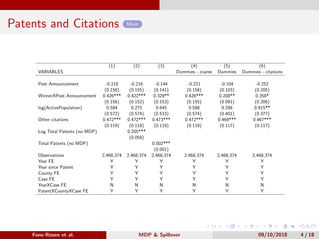<span id="page-32-0"></span>

|                            | (1)        | (2)        | (3)        | (4)              | (5)        | (6)                 |
|----------------------------|------------|------------|------------|------------------|------------|---------------------|
| VARIABLES                  |            |            |            | Dummies - coarse | Dummies    | Dummies - citations |
|                            |            |            |            |                  |            |                     |
| Post Announcement          | $-0.218$   | $-0.216$   | $-0.144$   | $-0.221$         | $-0.104$   | $-0.252$            |
|                            | (0.158)    | (0.155)    | (0.141)    | (0.158)          | (0.103)    | (0.205)             |
| WinnerXPost Announcement   | $0.426***$ | $0.422***$ | $0.329**$  | $0.426***$       | $0.208**$  | $0.358*$            |
|                            | (0.156)    | (0.152)    | (0.153)    | (0.155)          | (0.091)    | (0.206)             |
| log(ActivePopulation)      | 0.584      | 0.275      | 0.645      | 0.588            | 0.298      | $0.815**$           |
|                            | (0.572)    | (0.574)    | (0.533)    | (0.574)          | (0.401)    | (0.377)             |
| Other citations            | $0.472***$ | $0.472***$ | $0.473***$ | $0.472***$       | $0.469***$ | $0.467***$          |
|                            | (0.119)    | (0.118)    | (0.119)    | (0.119)          | (0.117)    | (0.117)             |
| Log Total Patents (no MDP) |            | $0.205***$ |            |                  |            |                     |
|                            |            | (0.058)    |            |                  |            |                     |
| Total Patents (no MDP)     |            |            | $0.002***$ |                  |            |                     |
|                            |            |            | (0.001)    |                  |            |                     |
| Observations               | 2,468,374  | 2,468,374  | 2,468,374  | 2,468,374        | 2,468,374  | 2,468,374           |
| Year FE                    | Υ          | Υ          | Υ          | Υ                | Υ          | Υ                   |
| Year since Patent          | Υ          | Υ          | Υ          | Y                | Υ          | Υ                   |
| County FE                  | Υ          | Υ          | Υ          | Υ                | Υ          | Υ                   |
| Case FE                    | Υ          | Y          | Y          | Υ                | Υ          | Υ                   |
| YearXCase FE               | N          | N          | N          | N                | N          | N                   |
| PatentXCountyXCase FE      | Υ          | Y          | Υ          | Y                | Υ          | Υ                   |

Fons-Rosen et al. **[MDP & Spillover](#page-0-0)** 09/10/2018 4/18

K ロ ▶ K @ ▶ K ミ ▶ K ミ ▶ [로]로 19 Q @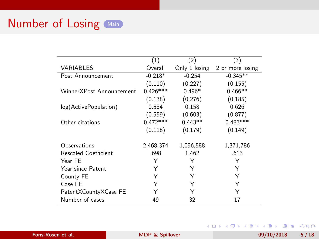<span id="page-33-0"></span>

|                          | (1)        | (2)           | (3)              |
|--------------------------|------------|---------------|------------------|
| VARIABLES                | Overall    | Only 1 losing | 2 or more losing |
| Post Announcement        | $-0.218*$  | $-0.254$      | $-0.345**$       |
|                          | (0.110)    | (0.227)       | (0.155)          |
| WinnerXPost Announcement | $0.426***$ | $0.496*$      | $0.466**$        |
|                          | (0.138)    | (0.276)       | (0.185)          |
| log(ActivePopulation)    | 0.584      | 0.158         | 0.626            |
|                          | (0.559)    | (0.603)       | (0.877)          |
| Other citations          | $0.472***$ | $0.443**$     | $0.483***$       |
|                          | (0.118)    | (0.179)       | (0.149)          |
| Observations             | 2,468,374  | 1,096,588     | 1,371,786        |
| Rescaled Coefficient     | .698       | 1.462         | .613             |
| Year FE                  | Υ          | Υ             | Υ                |
| Year since Patent        | Υ          | Υ             | Υ                |
| County FE                | Υ          | Υ             | Υ                |
| Case FE                  | Υ          | Υ             | Υ                |
| PatentXCountyXCase FE    |            | Υ             | Υ                |
| Number of cases          | 49         | 32            | 17               |

Fons-Rosen et al. **[MDP & Spillover](#page-0-0)** 1999/10/2018 5 / 18

K ロ ▶ K @ ▶ K ミ ▶ K ミ ▶ [로]로 19 Q @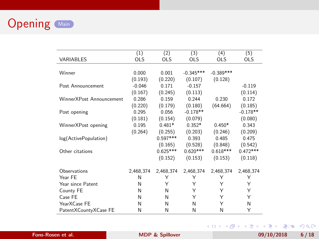<span id="page-34-0"></span>

|                          | (1)        | (2)        | (3)         | (4)         | (5)        |
|--------------------------|------------|------------|-------------|-------------|------------|
| <b>VARIABLES</b>         | <b>OLS</b> | <b>OLS</b> | <b>OLS</b>  | <b>OLS</b>  | <b>OLS</b> |
| Winner                   | 0.000      | 0.001      | $-0.345***$ | $-0.389***$ |            |
|                          | (0.193)    | (0.220)    | (0.107)     | (0.128)     |            |
| Post Announcement        | $-0.046$   | 0.171      | $-0.157$    |             | $-0.119$   |
|                          | (0.167)    | (0.245)    | (0.113)     |             | (0.114)    |
| WinnerXPost Announcement | 0.286      | 0.159      | 0.244       | 0.230       | 0.172      |
|                          | (0.220)    | (0.179)    | (0.180)     | (64.664)    | (0.185)    |
| Post opening             | 0.295      | 0.056      | $-0.178**$  |             | $-0.178**$ |
|                          | (0.181)    | (0.154)    | (0.079)     |             | (0.080)    |
| WinnerXPost opening      | 0.195      | $0.481*$   | $0.352*$    | $0.450*$    | 0.343      |
|                          | (0.264)    | (0.255)    | (0.203)     | (0.246)     | (0.209)    |
| log(ActivePopulation)    |            | $0.597***$ | 0.393       | 0.485       | 0.475      |
|                          |            | (0.165)    | (0.528)     | (0.848)     | (0.542)    |
| Other citations          |            | $0.625***$ | $0.620***$  | $0.618***$  | $0.472***$ |
|                          |            | (0.152)    | (0.153)     | (0.153)     | (0.118)    |
| Observations             | 2,468,374  | 2,468,374  | 2,468,374   | 2,468,374   | 2,468,374  |
| Year FE                  | N          | Υ          | Υ           | Υ           | Υ          |
| Year since Patent        | Ν          | Υ          | Υ           | Υ           | Υ          |
| County FE                | N          | N          | Υ           | Υ           | Υ          |
| Case FE                  | N          | N          | Υ           | Υ           | Υ          |
| YearXCase FE             | N          | N          | N           | Υ           | N          |
| PatentXCountyXCase FE    | N          | N          | N           | N           | Υ          |

K ロ ▶ K @ ▶ K 할 ▶ K 할 ▶ [ 할 게 ) 있어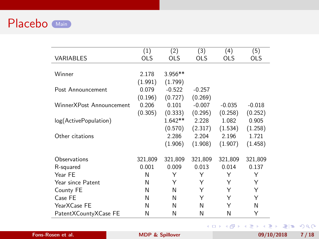<span id="page-35-0"></span>

|                          | (1)        | (2)        | (3)        | (4)        | (5)        |
|--------------------------|------------|------------|------------|------------|------------|
| VARIABLES                | <b>OLS</b> | <b>OLS</b> | <b>OLS</b> | <b>OLS</b> | <b>OLS</b> |
|                          |            |            |            |            |            |
| Winner                   | 2.178      | $3.956**$  |            |            |            |
|                          | (1.991)    | (1.799)    |            |            |            |
| Post Announcement        | 0.079      | $-0.522$   | $-0.257$   |            |            |
|                          | (0.196)    | (0.727)    | (0.269)    |            |            |
| WinnerXPost Announcement | 0.206      | 0.101      | $-0.007$   | $-0.035$   | $-0.018$   |
|                          | (0.305)    | (0.333)    | (0.295)    | (0.258)    | (0.252)    |
| log(ActivePopulation)    |            | $1.642**$  | 2.228      | 1.082      | 0.905      |
|                          |            | (0.570)    | (2.317)    | (1.534)    | (1.258)    |
| Other citations          |            | 2.286      | 2.204      | 2.196      | 1.721      |
|                          |            | (1.906)    | (1.908)    | (1.907)    | (1.458)    |
| Observations             | 321,809    | 321,809    | 321,809    | 321,809    | 321,809    |
| R-squared                | 0.001      | 0.009      | 0.013      | 0.014      | 0.137      |
| Year FE                  | N          | Υ          | Υ          | Υ          | Υ          |
| Year since Patent        | N          | Υ          | Υ          | Υ          | Υ          |
| County FE                | N          | N          | Υ          | Υ          | Υ          |
| Case FE                  | N          | N          | Υ          | Υ          | Υ          |
| YearXCase FE             | N          | N          | N          | Υ          | N          |
| PatentXCountyXCase FE    | N          | N          | N          | N          | Υ          |
|                          |            |            |            |            |            |

K ロ ▶ K 御 ▶ K 重 ▶ K 重 ▶ [ 重] 由 19 Q Q

Fons-Rosen et al. [MDP & Spillover](#page-0-0) 09/10/2018 7/18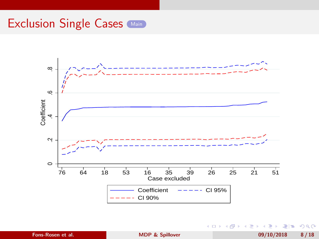<span id="page-36-0"></span>

**B** Fons-Rosen et al. 1992 Construction of the [MDP & Spillover](#page-0-0) 1992 Construction of the MDP & Spillover 1992 Construction of the MDP & Spillover 1992 Construction of the MDP & Spillover 1992 Construction of the MDP & Spillover

重

 $E|E \cap Q$ 

メロメ メ押メ メミメメ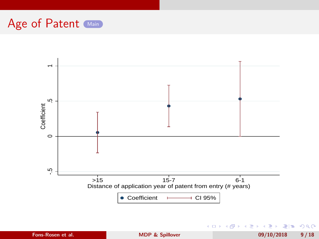<span id="page-37-0"></span>

Fons-Rosen et al. **[MDP & Spillover](#page-0-0)** 09/10/2018 9/18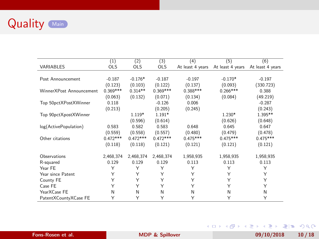

<span id="page-38-0"></span>

|                          | (1)        | (2)        | (3)        | (4)              | (5)              | (6)              |
|--------------------------|------------|------------|------------|------------------|------------------|------------------|
| VARIABLES                | <b>OLS</b> | <b>OLS</b> | <b>OLS</b> | At least 4 years | At least 4 years | At least 4 years |
|                          |            |            |            |                  |                  |                  |
| Post Announcement        | $-0.187$   | $-0.176*$  | $-0.187$   | $-0.197$         | $-0.170*$        | $-0.197$         |
|                          | (0.123)    | (0.103)    | (0.122)    | (0.137)          | (0.093)          | (330.723)        |
| WinnerXPost Announcement | $0.369***$ | $0.314**$  | $0.369***$ | $0.388***$       | $0.266***$       | 0.388            |
|                          | (0.063)    | (0.132)    | (0.071)    | (0.134)          | (0.084)          | (49.219)         |
| Top 50pctXPostXWinner    | 0.118      |            | $-0.126$   | 0.006            |                  | $-0.287$         |
|                          | (0.213)    |            | (0.205)    | (0.245)          |                  | (0.243)          |
| Top 90pctXpostXWinner    |            | $1.119*$   | $1.191*$   |                  | $1.230*$         | 1.395**          |
|                          |            | (0.596)    | (0.614)    |                  | (0.626)          | (0.648)          |
| log(ActivePopulation)    | 0.583      | 0.582      | 0.583      | 0.648            | 0.645            | 0.647            |
|                          | (0.559)    | (0.558)    | (0.557)    | (0.480)          | (0.479)          | (0.478)          |
| Other citations          | $0.472***$ | $0.472***$ | $0.472***$ | $0.475***$       | $0.475***$       | $0.475***$       |
|                          | (0.118)    | (0.118)    | (0.121)    | (0.121)          | (0.121)          | (0.121)          |
|                          |            |            |            |                  |                  |                  |
| Observations             | 2,468,374  | 2,468,374  | 2,468,374  | 1,958,935        | 1,958,935        | 1,958,935        |
| R-squared                | 0.129      | 0.129      | 0.129      | 0.113            | 0.113            | 0.113            |
| Year FE                  | Υ          | Υ          | Υ          | Υ                | Υ                | Υ                |
| Year since Patent        | Υ          | Υ          | Υ          | Υ                | Υ                | Υ                |
| County FE                | Υ          | Υ          | Υ          | Υ                | Υ                | Υ                |
| Case FE                  | Y          | Y          | Υ          | Υ                | Υ                | Υ                |
| YearXCase FE             | N          | N          | N          | N                | N                | N                |
| PatentXCountyXCase FE    | Υ          | Υ          | Υ          | Υ                | Υ                | Υ                |

K ロ ▶ K 御 ▶ K 重 ▶ K 重 ▶ [ 重] 由 19 Q Q Fons-Rosen et al. [MDP & Spillover](#page-0-0) 09/10/2018 10/18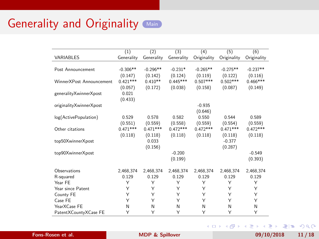|                          | (1)        | (2)        | (3)        | (4)         | (5)         | (6)         |
|--------------------------|------------|------------|------------|-------------|-------------|-------------|
| VARIABLES                | Generality | Generality | Generality | Originality | Originality | Originality |
|                          |            |            |            |             |             |             |
| Post Announcement        | $-0.306**$ | $-0.296**$ | $-0.231*$  | $-0.265**$  | $-0.275**$  | $-0.237**$  |
|                          | (0.147)    | (0.142)    | (0.124)    | (0.119)     | (0.122)     | (0.116)     |
| WinnerXPost Announcement | $0.421***$ | $0.410**$  | $0.445***$ | $0.507***$  | $0.502***$  | $0.466***$  |
|                          | (0.057)    | (0.172)    | (0.038)    | (0.158)     | (0.087)     | (0.149)     |
| generalityXwinnerXpost   | 0.021      |            |            |             |             |             |
|                          | (0.433)    |            |            |             |             |             |
| originalityXwinnerXpost  |            |            |            | $-0.935$    |             |             |
|                          |            |            |            | (0.646)     |             |             |
| log(ActivePopulation)    | 0.529      | 0.578      | 0.582      | 0.550       | 0.544       | 0.589       |
|                          | (0.551)    | (0.559)    | (0.558)    | (0.559)     | (0.554)     | (0.559)     |
| Other citations          | $0.471***$ | $0.471***$ | $0.472***$ | $0.472***$  | $0.471***$  | $0.472***$  |
|                          | (0.118)    | (0.118)    | (0.118)    | (0.118)     | (0.118)     | (0.118)     |
| top50XwinnerXpost        |            | 0.033      |            |             | $-0.377$    |             |
|                          |            | (0.156)    |            |             | (0.287)     |             |
| top90XwinnerXpost        |            |            | $-0.200$   |             |             | $-0.549$    |
|                          |            |            | (0.199)    |             |             | (0.393)     |
| Observations             | 2.468.374  | 2.468.374  | 2.468.374  | 2.468.374   | 2.468.374   | 2,468,374   |
| R-squared                | 0.129      | 0.129      | 0.129      | 0.129       | 0.129       | 0.129       |
| Year FF                  | Υ          | Υ          | Υ          | Υ           | Υ           | Υ           |
| Year since Patent        | Υ          | Υ          | Υ          | Υ           | Υ           | Υ           |
| County FE                | Υ          | Υ          | Υ          | Υ           | Υ           | Υ           |
| Case FF                  | Υ          | Υ          | Υ          | Υ           | Υ           | Υ           |
| YearXCase FF             | N          | N          | N          | N           | N           | N           |
| PatentXCountyXCase FE    | Υ          | Υ          | Υ          | Υ           | Υ           | Υ           |

K ロ ▶ K @ ▶ K ミ ▶ K ミ ▶ [로]로 19 Q @

Fons-Rosen et al. [MDP & Spillover](#page-0-0) 09/10/2018 11/18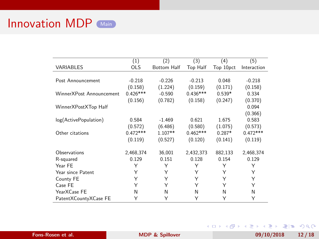<span id="page-40-0"></span>

|                          | (1)        | (2)                | (3)        | (4)       | (5)         |
|--------------------------|------------|--------------------|------------|-----------|-------------|
| VARIABLES                | <b>OLS</b> | <b>Bottom Half</b> | Top Half   | Top 10pct | Interaction |
|                          |            |                    |            |           |             |
| Post Announcement        | $-0.218$   | $-0.226$           | $-0.213$   | 0.048     | $-0.218$    |
|                          | (0.158)    | (1.224)            | (0.159)    | (0.171)   | (0.158)     |
| WinnerXPost Announcement | $0.426***$ | $-0.590$           | $0.436***$ | $0.539*$  | 0.334       |
|                          | (0.156)    | (0.782)            | (0.158)    | (0.247)   | (0.370)     |
| WinnerXPostXTop Half     |            |                    |            |           | 0.094       |
|                          |            |                    |            |           | (0.366)     |
| log(ActivePopulation)    | 0.584      | $-1.469$           | 0.621      | 1.675     | 0.583       |
|                          | (0.572)    | (6.486)            | (0.580)    | (1.075)   | (0.573)     |
| Other citations          | $0.472***$ | $1.107**$          | $0.462***$ | $0.287*$  | $0.472***$  |
|                          | (0.119)    | (0.527)            | (0.120)    | (0.141)   | (0.119)     |
|                          |            |                    |            |           |             |
| Observations             | 2,468,374  | 36,001             | 2,432,373  | 882,133   | 2,468,374   |
| R-squared                | 0.129      | 0.151              | 0.128      | 0.154     | 0.129       |
| Year FE                  | Υ          | Y                  | Υ          | Υ         | Υ           |
| Year since Patent        | Υ          | Υ                  | Υ          | Υ         | Υ           |
| County FE                | Υ          | Y                  | Υ          | Υ         | Y           |
| Case FE                  | Υ          | Y                  | Υ          | Υ         | Y           |
| YearXCase FE             | N          | N                  | Ν          | N         | N           |
| PatentXCountyXCase FE    | Υ          | Υ                  | Υ          | Υ         | Υ           |

Fons-Rosen et al. **[MDP & Spillover](#page-0-0)** 199/10/2018 12/18

K ロ ▶ K 御 ▶ K 重 ▶ K 重 ▶ [ 重] 由 19 Q Q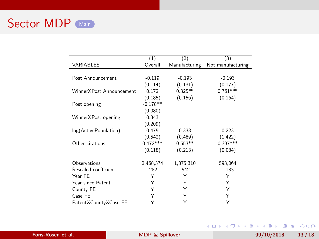<span id="page-41-0"></span>

|                          | (1)        | (2)           | (3)               |
|--------------------------|------------|---------------|-------------------|
| VARIABLES                | Overall    | Manufacturing | Not manufacturing |
|                          |            |               |                   |
| Post Announcement        | $-0.119$   | $-0.193$      | $-0.193$          |
|                          | (0.114)    | (0.131)       | (0.177)           |
| WinnerXPost Announcement | 0.172      | $0.325**$     | $0.761***$        |
|                          | (0.185)    | (0.156)       | (0.164)           |
| Post opening             | $-0.178**$ |               |                   |
|                          | (0.080)    |               |                   |
| WinnerXPost opening      | 0.343      |               |                   |
|                          | (0.209)    |               |                   |
| log(ActivePopulation)    | 0.475      | 0.338         | 0.223             |
|                          | (0.542)    | (0.489)       | (1.422)           |
| Other citations          | $0.472***$ | $0.553**$     | $0.397***$        |
|                          | (0.118)    | (0.213)       | (0.084)           |
| Observations             | 2,468,374  | 1,875,310     | 593,064           |
| Rescaled coefficient     | .282       | .542          | 1.183             |
| Year FE                  | Υ          | Υ             | Υ                 |
| Year since Patent        | Υ          | Υ             | Υ                 |
| County FE                | Υ          | Υ             | Υ                 |
| Case FE                  | Υ          | Υ             | Υ                 |
| PatentXCountyXCase FE    | Y          | Y             | Υ                 |

Fons-Rosen et al. **[MDP & Spillover](#page-0-0)** 13/18 09/10/2018 13/18

K ロ ▶ K 御 ▶ K 重 ▶ K 重 ▶ [ 重] 由 19 Q Q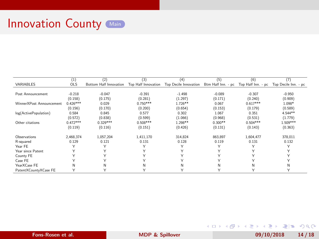<span id="page-42-0"></span>

|                          | (1)          | (2)                    | (3)                 | (4)                   | (5)                | (6)                | (7)                  |
|--------------------------|--------------|------------------------|---------------------|-----------------------|--------------------|--------------------|----------------------|
| VARIABLES                | <b>OLS</b>   | Bottom Half Innovation | Top Half Innovation | Top Decile Innovation | Btm Half Inn. - pc | Top Half Inn. - pc | Top Decile Inn. - pc |
|                          |              |                        |                     |                       |                    |                    |                      |
| Post Announcement        | $-0.218$     | $-0.047$               | $-0.391$            | $-1.498$              | $-0.089$           | $-0.307$           | $-0.950$             |
|                          | (0.158)      | (0.175)                | (0.281)             | (1.297)               | (0.171)            | (0.240)            | (0.909)              |
| WinnerXPost Announcement | $0.426***$   | 0.029                  | $0.750***$          | $1.726**$             | 0.067              | $0.617***$         | 1.098*               |
|                          | (0.156)      | (0.170)                | (0.200)             | (0.654)               | (0.153)            | (0.179)            | (0.589)              |
| log(ActivePopulation)    | 0.584        | 0.845                  | 0.577               | 0.302                 | 1.067              | 0.351              | 4.544 **             |
|                          | (0.572)      | (0.838)                | (0.599)             | (1.066)               | (0.968)            | (0.531)            | (1.779)              |
| Other citations          | $0.472***$   | $0.329***$             | $0.508***$          | 1.298**               | $0.300**$          | $0.504***$         | 1.509***             |
|                          | (0.119)      | (0.116)                | (0.151)             | (0.426)               | (0.131)            | (0.143)            | (0.363)              |
| Observations             | 2.468.374    | 1.057.204              | 1.411.170           | 314.824               | 863,897            | 1.604.477          | 378,011              |
| R-squared                | 0.129        | 0.121                  | 0.131               | 0.128                 | 0.119              | 0.131              | 0.132                |
| Year FE                  |              | ٧                      |                     | ٧                     | Υ                  |                    |                      |
| Year since Patent        |              |                        |                     |                       | Υ                  |                    |                      |
| County FE                |              |                        |                     |                       | v                  |                    |                      |
| Case FE                  | $\checkmark$ | $\checkmark$           |                     | $\checkmark$          | ٧                  |                    |                      |
| YearXCase FE             | N            | Ν                      | и                   | N                     | N                  | Ν                  | N                    |
| PatentXCountvXCase FE    | ٧            |                        |                     |                       | ٧                  |                    | ٧                    |

Fons-Rosen et al. **[MDP & Spillover](#page-0-0)** 199/10/2018 14/18

K ロ ▶ K @ ▶ K ミ ▶ K ミ ▶ [로]로 19 Q @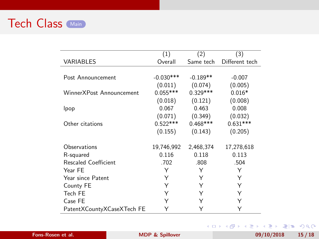<span id="page-43-0"></span>

|                            | (1)         | (2)        | (3)            |
|----------------------------|-------------|------------|----------------|
| VARIABLES                  | Overall     | Same tech  | Different tech |
|                            |             |            |                |
| Post Announcement          | $-0.030***$ | $-0.189**$ | $-0.007$       |
|                            | (0.011)     | (0.074)    | (0.005)        |
| WinnerXPost Announcement   | $0.055***$  | $0.329***$ | $0.016*$       |
|                            | (0.018)     | (0.121)    | (0.008)        |
| lpop                       | 0.067       | 0.463      | 0.008          |
|                            | (0.071)     | (0.349)    | (0.032)        |
| Other citations            | $0.522***$  | $0.468***$ | $0.631***$     |
|                            | (0.155)     | (0.143)    | (0.205)        |
| Observations               | 19,746,992  | 2,468,374  | 17,278,618     |
| R-squared                  | 0.116       | 0.118      | 0.113          |
| Rescaled Coefficient       | .702        | .808       | .504           |
| Year FE                    | Υ           | Υ          | Υ              |
| Year since Patent          | Υ           | Υ          | Υ              |
| County FE                  | Υ           | Υ          | Υ              |
| Tech FE                    | Υ           | Y          | Υ              |
| Case FE                    | Υ           | Υ          | Υ              |
| PatentXCountyXCaseXTech FE | Y           | Y          | Y              |

Fons-Rosen et al. [MDP & Spillover](#page-0-0) 09/10/2018 15/18

K ロ ▶ K 御 ▶ K 重 ▶ K 重 ▶ [ 重] 由 19 Q Q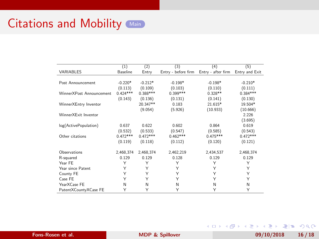<span id="page-44-0"></span>

|                          | (1)        | (2)        | (3)                 | (4)                | (5)            |
|--------------------------|------------|------------|---------------------|--------------------|----------------|
| VARIABLES                | Baseline   | Entry      | Entry - before firm | Entry - after firm | Entry and Exit |
|                          |            |            |                     |                    |                |
| Post Announcement        | $-0.220*$  | $-0.212*$  | $-0.198*$           | $-0.198*$          | $-0.210*$      |
|                          | (0.113)    | (0.109)    | (0.103)             | (0.110)            | (0.111)        |
| WinnerXPost Announcement | $0.424***$ | $0.388***$ | $0.399***$          | $0.328**$          | $0.384***$     |
|                          | (0.143)    | (0.136)    | (0.131)             | (0.141)            | (0.130)        |
| WinnerXEntry Inventor    |            | 20.347**   | 0.183               | 21.615*            | 19.504*        |
|                          |            | (9.054)    | (5.926)             | (10.933)           | (10.666)       |
| WinnerXFxit Inventor     |            |            |                     |                    | 2.226          |
|                          |            |            |                     |                    | (3.695)        |
| log(ActivePopulation)    | 0.637      | 0.622      | 0.602               | 0.864              | 0.619          |
|                          | (0.532)    | (0.533)    | (0.547)             | (0.585)            | (0.543)        |
| Other citations          | $0.472***$ | $0.472***$ | $0.462***$          | $0.475***$         | $0.472***$     |
|                          | (0.119)    | (0.118)    | (0.112)             | (0.120)            | (0.121)        |
| Observations             | 2,468,374  | 2,468,374  | 2,462,219           | 2,434,537          | 2,468,374      |
| R-squared                | 0.129      | 0.129      | 0.128               | 0.129              | 0.129          |
| Year FF                  | Υ          | Υ          | Υ                   | Υ                  | Υ              |
| Year since Patent        | Y          | Υ          | Υ                   | Υ                  | Υ              |
| County FE                | Y          | Υ          | Υ                   | Υ                  | Υ              |
| Case FE                  | Υ          | Υ          | Υ                   | Υ                  | Υ              |
| YearXCase FE             | N          | N          | N                   | N                  | Ν              |
| PatentXCountyXCase FE    | Υ          | Υ          | Υ                   | Υ                  | Υ              |

Fons-Rosen et al. **[MDP & Spillover](#page-0-0)** 109/10/2018 16/18

K ロ ▶ K @ ▶ K 글 ▶ K 글 ▶ [로] = 19 Q @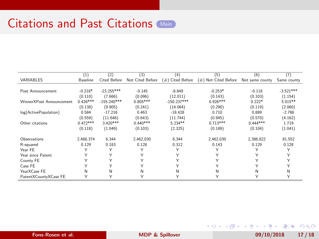<span id="page-45-0"></span>

|                          | (1)        | (2)           | (3)              | (4)              | (5)                  | (6)             | (7)          |
|--------------------------|------------|---------------|------------------|------------------|----------------------|-----------------|--------------|
| VARIABLES                | Baseline   | Cited Before  | Not Cited Before | (#) Cited Before | (#) Not Cited Before | Not same county | Same county  |
|                          |            |               |                  |                  |                      |                 |              |
| Post Announcement        | $-0.218*$  | $-23.255***$  | $-0.145$         | $-8.849$         | $-0.253*$            | $-0.118$        | $-3.521***$  |
|                          | (0.110)    | (7.666)       | (0.096)          | (12.011)         | (0.143)              | (0.103)         | (1.154)      |
| WinnerXPost Announcement | $0.426***$ | $-155.240***$ | $0.805***$       | $-150.237***$    | $0.926***$           | $0.222*$        | $5.015**$    |
|                          | (0.138)    | (9.905)       | (0.241)          | (14.064)         | (0.290)              | (0.119)         | (2.060)      |
| log(ActivePopulation)    | 0.584      | $-17.216$     | 0.463            | $-18.428$        | 0.710                | 0.889           | $-2.786$     |
|                          | (0.559)    | (11.646)      | (0.643)          | (11.744)         | (0.945)              | (0.570)         | (4.162)      |
| Other citations          | $0.472***$ | $3.420***$    | $0.440***$       | $5.234**$        | $0.713***$           | $0.444***$      | 1.719        |
|                          | (0.118)    | (1.049)       | (0.103)          | (2.325)          | (0.189)              | (0.104)         | (1.041)      |
| Observations             | 2,468,374  | 6.344         | 2,462,030        | 6.344            | 2,462,030            | 2,386,822       | 81,552       |
| R-squared                | 0.129      | 0.183         | 0.128            | 0.312            | 0.143                | 0.129           | 0.128        |
| Year FE                  |            | Υ             | Υ                | Y                | Υ                    |                 | Υ            |
| Year since Patent        | Υ          | Υ             | Υ                |                  | Υ                    |                 |              |
| County FE                |            | Υ             | Υ                |                  | Υ                    |                 |              |
| Case FE                  | ٧          | Υ             | Υ                |                  | Υ                    | v               |              |
| YearXCase FE             | N          | N             | N                | Ν                | N                    | N               | N            |
| PatentXCountyXCase FE    | ٧          | Υ             | ٧                | $\checkmark$     | Υ                    |                 | $\checkmark$ |

Fons-Rosen et al. **[MDP & Spillover](#page-0-0)** 199/10/2018 17/18

K ロ ▶ K @ ▶ K 글 ▶ K 글 ▶ [로] = 19 Q @